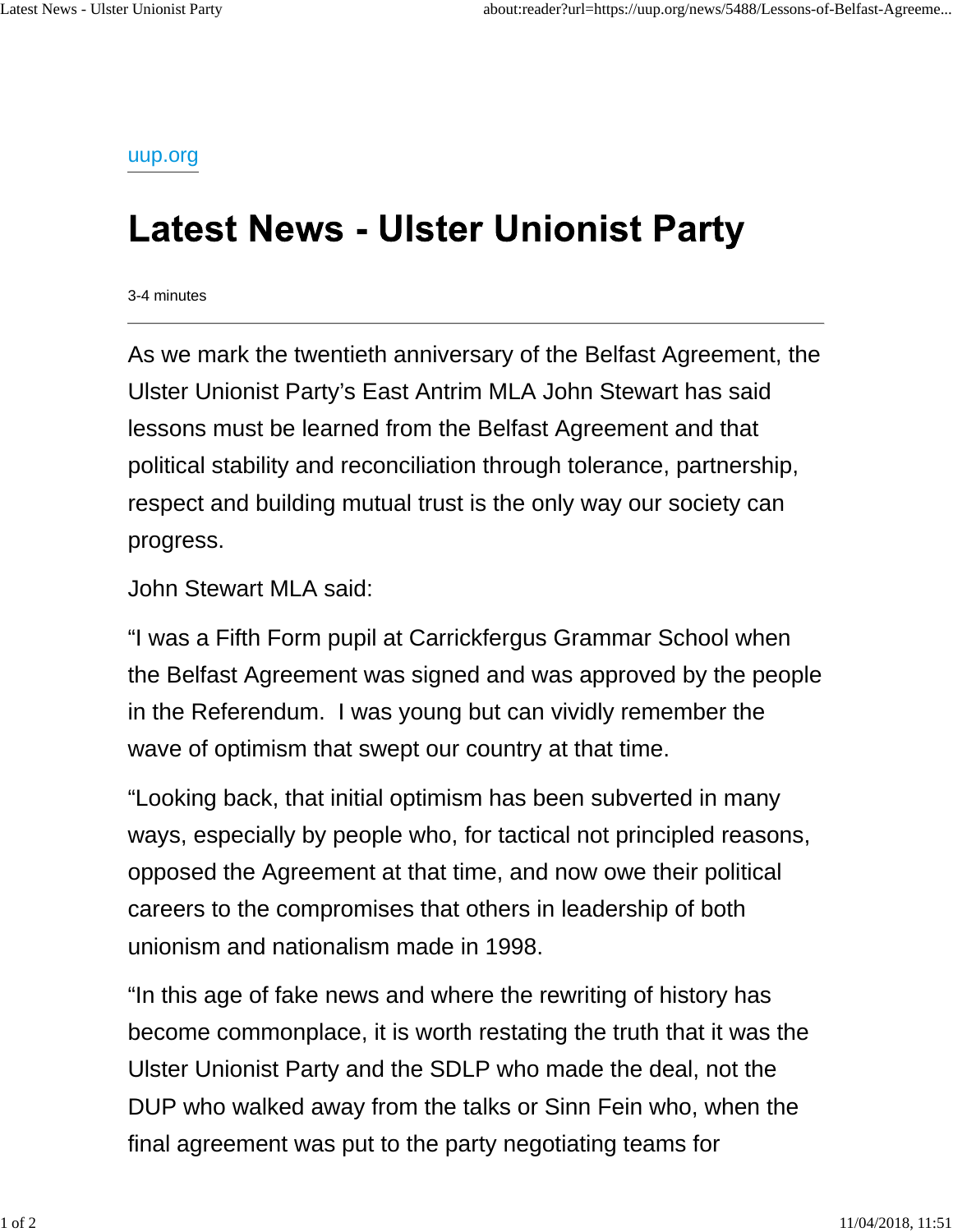uup.org

## **Latest News - Ulster Unionist Party**

3-4 minutes

As we mark the twentieth anniversary of the Belfast Agreement, the Ulster Unionist Party's East Antrim MLA John Stewart has said lessons must be learned from the Belfast Agreement and that political stability and reconciliation through tolerance, partnership, respect and building mutual trust is the only way our society can progress.

John Stewart MLA said:

"I was a Fifth Form pupil at Carrickfergus Grammar School when the Belfast Agreement was signed and was approved by the people in the Referendum. I was young but can vividly remember the wave of optimism that swept our country at that time.

"Looking back, that initial optimism has been subverted in many ways, especially by people who, for tactical not principled reasons, opposed the Agreement at that time, and now owe their political careers to the compromises that others in leadership of both unionism and nationalism made in 1998.

"In this age of fake news and where the rewriting of history has become commonplace, it is worth restating the truth that it was the Ulster Unionist Party and the SDLP who made the deal, not the DUP who walked away from the talks or Sinn Fein who, when the final agreement was put to the party negotiating teams for